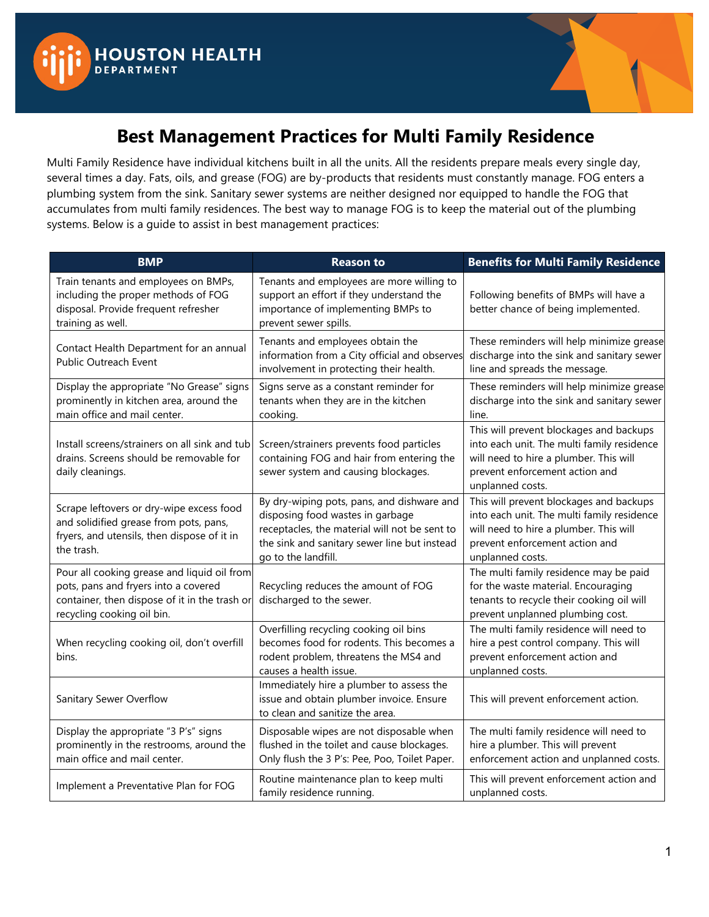



## **Best Management Practices for Multi Family Residence**

Multi Family Residence have individual kitchens built in all the units. All the residents prepare meals every single day, several times a day. Fats, oils, and grease (FOG) are by-products that residents must constantly manage. FOG enters a plumbing system from the sink. Sanitary sewer systems are neither designed nor equipped to handle the FOG that accumulates from multi family residences. The best way to manage FOG is to keep the material out of the plumbing systems. Below is a guide to assist in best management practices:

| <b>BMP</b>                                                                                                                                                         | <b>Reason to</b>                                                                                                                                                                                       | <b>Benefits for Multi Family Residence</b>                                                                                                                                            |
|--------------------------------------------------------------------------------------------------------------------------------------------------------------------|--------------------------------------------------------------------------------------------------------------------------------------------------------------------------------------------------------|---------------------------------------------------------------------------------------------------------------------------------------------------------------------------------------|
| Train tenants and employees on BMPs,<br>including the proper methods of FOG<br>disposal. Provide frequent refresher<br>training as well.                           | Tenants and employees are more willing to<br>support an effort if they understand the<br>importance of implementing BMPs to<br>prevent sewer spills.                                                   | Following benefits of BMPs will have a<br>better chance of being implemented.                                                                                                         |
| Contact Health Department for an annual<br>Public Outreach Event                                                                                                   | Tenants and employees obtain the<br>information from a City official and observes<br>involvement in protecting their health.                                                                           | These reminders will help minimize grease<br>discharge into the sink and sanitary sewer<br>line and spreads the message.                                                              |
| Display the appropriate "No Grease" signs<br>prominently in kitchen area, around the<br>main office and mail center.                                               | Signs serve as a constant reminder for<br>tenants when they are in the kitchen<br>cooking.                                                                                                             | These reminders will help minimize grease<br>discharge into the sink and sanitary sewer<br>line.                                                                                      |
| Install screens/strainers on all sink and tub<br>drains. Screens should be removable for<br>daily cleanings.                                                       | Screen/strainers prevents food particles<br>containing FOG and hair from entering the<br>sewer system and causing blockages.                                                                           | This will prevent blockages and backups<br>into each unit. The multi family residence<br>will need to hire a plumber. This will<br>prevent enforcement action and<br>unplanned costs. |
| Scrape leftovers or dry-wipe excess food<br>and solidified grease from pots, pans,<br>fryers, and utensils, then dispose of it in<br>the trash.                    | By dry-wiping pots, pans, and dishware and<br>disposing food wastes in garbage<br>receptacles, the material will not be sent to<br>the sink and sanitary sewer line but instead<br>go to the landfill. | This will prevent blockages and backups<br>into each unit. The multi family residence<br>will need to hire a plumber. This will<br>prevent enforcement action and<br>unplanned costs. |
| Pour all cooking grease and liquid oil from<br>pots, pans and fryers into a covered<br>container, then dispose of it in the trash or<br>recycling cooking oil bin. | Recycling reduces the amount of FOG<br>discharged to the sewer.                                                                                                                                        | The multi family residence may be paid<br>for the waste material. Encouraging<br>tenants to recycle their cooking oil will<br>prevent unplanned plumbing cost.                        |
| When recycling cooking oil, don't overfill<br>bins.                                                                                                                | Overfilling recycling cooking oil bins<br>becomes food for rodents. This becomes a<br>rodent problem, threatens the MS4 and<br>causes a health issue.                                                  | The multi family residence will need to<br>hire a pest control company. This will<br>prevent enforcement action and<br>unplanned costs.                                               |
| Sanitary Sewer Overflow                                                                                                                                            | Immediately hire a plumber to assess the<br>issue and obtain plumber invoice. Ensure<br>to clean and sanitize the area.                                                                                | This will prevent enforcement action.                                                                                                                                                 |
| Display the appropriate "3 P's" signs<br>prominently in the restrooms, around the<br>main office and mail center.                                                  | Disposable wipes are not disposable when<br>flushed in the toilet and cause blockages.<br>Only flush the 3 P's: Pee, Poo, Toilet Paper.                                                                | The multi family residence will need to<br>hire a plumber. This will prevent<br>enforcement action and unplanned costs.                                                               |
| Implement a Preventative Plan for FOG                                                                                                                              | Routine maintenance plan to keep multi<br>family residence running.                                                                                                                                    | This will prevent enforcement action and<br>unplanned costs.                                                                                                                          |